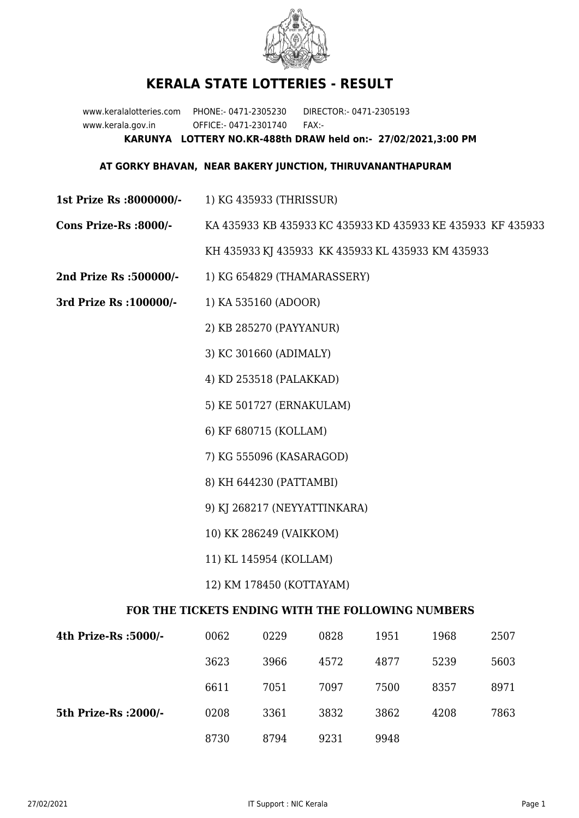

## **KERALA STATE LOTTERIES - RESULT**

www.keralalotteries.com PHONE:- 0471-2305230 DIRECTOR:- 0471-2305193 www.kerala.gov.in OFFICE:- 0471-2301740 FAX:- **KARUNYA LOTTERY NO.KR-488th DRAW held on:- 27/02/2021,3:00 PM**

## **AT GORKY BHAVAN, NEAR BAKERY JUNCTION, THIRUVANANTHAPURAM**

- **1st Prize Rs :8000000/-** 1) KG 435933 (THRISSUR)
- **Cons Prize-Rs :8000/-** KA 435933 KB 435933 KC 435933 KD 435933 KE 435933 KF 435933

KH 435933 KJ 435933 KK 435933 KL 435933 KM 435933

- **2nd Prize Rs :500000/-** 1) KG 654829 (THAMARASSERY)
- **3rd Prize Rs :100000/-** 1) KA 535160 (ADOOR)

2) KB 285270 (PAYYANUR)

3) KC 301660 (ADIMALY)

4) KD 253518 (PALAKKAD)

5) KE 501727 (ERNAKULAM)

6) KF 680715 (KOLLAM)

7) KG 555096 (KASARAGOD)

- 8) KH 644230 (PATTAMBI)
- 9) KJ 268217 (NEYYATTINKARA)
- 10) KK 286249 (VAIKKOM)
- 11) KL 145954 (KOLLAM)
- 12) KM 178450 (KOTTAYAM)

## **FOR THE TICKETS ENDING WITH THE FOLLOWING NUMBERS**

| 4th Prize-Rs :5000/-  | 0062 | 0229 | 0828 | 1951 | 1968 | 2507 |
|-----------------------|------|------|------|------|------|------|
|                       | 3623 | 3966 | 4572 | 4877 | 5239 | 5603 |
|                       | 6611 | 7051 | 7097 | 7500 | 8357 | 8971 |
| 5th Prize-Rs : 2000/- | 0208 | 3361 | 3832 | 3862 | 4208 | 7863 |
|                       | 8730 | 8794 | 9231 | 9948 |      |      |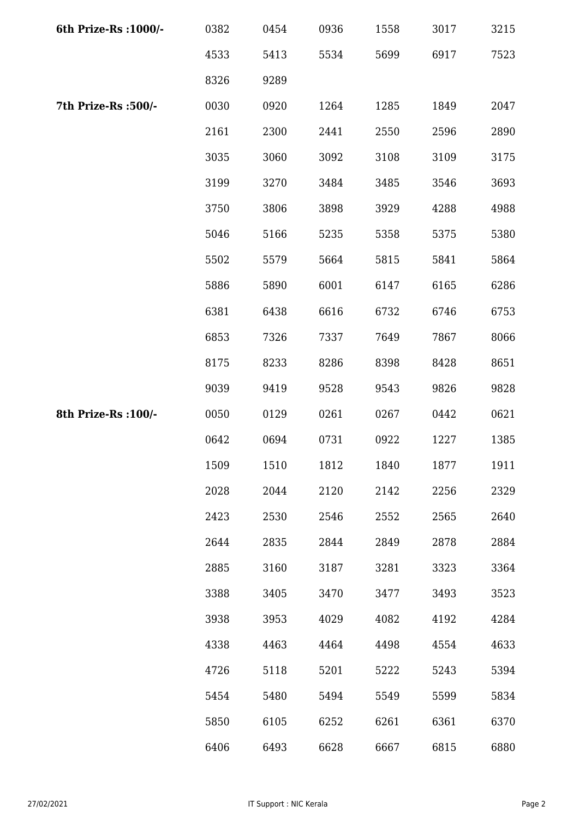| 6th Prize-Rs : 1000/- | 0382 | 0454 | 0936 | 1558 | 3017 | 3215 |
|-----------------------|------|------|------|------|------|------|
|                       | 4533 | 5413 | 5534 | 5699 | 6917 | 7523 |
|                       | 8326 | 9289 |      |      |      |      |
| 7th Prize-Rs :500/-   | 0030 | 0920 | 1264 | 1285 | 1849 | 2047 |
|                       | 2161 | 2300 | 2441 | 2550 | 2596 | 2890 |
|                       | 3035 | 3060 | 3092 | 3108 | 3109 | 3175 |
|                       | 3199 | 3270 | 3484 | 3485 | 3546 | 3693 |
|                       | 3750 | 3806 | 3898 | 3929 | 4288 | 4988 |
|                       | 5046 | 5166 | 5235 | 5358 | 5375 | 5380 |
|                       | 5502 | 5579 | 5664 | 5815 | 5841 | 5864 |
|                       | 5886 | 5890 | 6001 | 6147 | 6165 | 6286 |
|                       | 6381 | 6438 | 6616 | 6732 | 6746 | 6753 |
|                       | 6853 | 7326 | 7337 | 7649 | 7867 | 8066 |
|                       | 8175 | 8233 | 8286 | 8398 | 8428 | 8651 |
|                       | 9039 | 9419 | 9528 | 9543 | 9826 | 9828 |
| 8th Prize-Rs : 100/-  | 0050 | 0129 | 0261 | 0267 | 0442 | 0621 |
|                       | 0642 | 0694 | 0731 | 0922 | 1227 | 1385 |
|                       | 1509 | 1510 | 1812 | 1840 | 1877 | 1911 |
|                       | 2028 | 2044 | 2120 | 2142 | 2256 | 2329 |
|                       | 2423 | 2530 | 2546 | 2552 | 2565 | 2640 |
|                       | 2644 | 2835 | 2844 | 2849 | 2878 | 2884 |
|                       | 2885 | 3160 | 3187 | 3281 | 3323 | 3364 |
|                       | 3388 | 3405 | 3470 | 3477 | 3493 | 3523 |
|                       | 3938 | 3953 | 4029 | 4082 | 4192 | 4284 |
|                       | 4338 | 4463 | 4464 | 4498 | 4554 | 4633 |
|                       | 4726 | 5118 | 5201 | 5222 | 5243 | 5394 |
|                       | 5454 | 5480 | 5494 | 5549 | 5599 | 5834 |
|                       | 5850 | 6105 | 6252 | 6261 | 6361 | 6370 |
|                       | 6406 | 6493 | 6628 | 6667 | 6815 | 6880 |